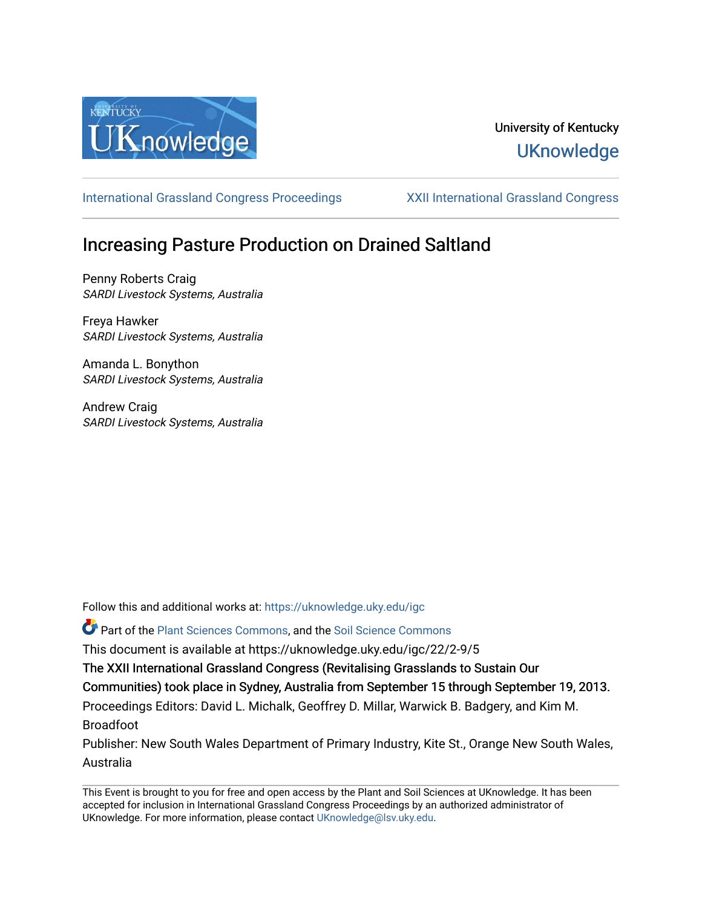

## University of Kentucky **UKnowledge**

[International Grassland Congress Proceedings](https://uknowledge.uky.edu/igc) [XXII International Grassland Congress](https://uknowledge.uky.edu/igc/22) 

# Increasing Pasture Production on Drained Saltland

Penny Roberts Craig SARDI Livestock Systems, Australia

Freya Hawker SARDI Livestock Systems, Australia

Amanda L. Bonython SARDI Livestock Systems, Australia

Andrew Craig SARDI Livestock Systems, Australia

Follow this and additional works at: [https://uknowledge.uky.edu/igc](https://uknowledge.uky.edu/igc?utm_source=uknowledge.uky.edu%2Figc%2F22%2F2-9%2F5&utm_medium=PDF&utm_campaign=PDFCoverPages) 

Part of the [Plant Sciences Commons](http://network.bepress.com/hgg/discipline/102?utm_source=uknowledge.uky.edu%2Figc%2F22%2F2-9%2F5&utm_medium=PDF&utm_campaign=PDFCoverPages), and the [Soil Science Commons](http://network.bepress.com/hgg/discipline/163?utm_source=uknowledge.uky.edu%2Figc%2F22%2F2-9%2F5&utm_medium=PDF&utm_campaign=PDFCoverPages) 

This document is available at https://uknowledge.uky.edu/igc/22/2-9/5

The XXII International Grassland Congress (Revitalising Grasslands to Sustain Our

Communities) took place in Sydney, Australia from September 15 through September 19, 2013.

Proceedings Editors: David L. Michalk, Geoffrey D. Millar, Warwick B. Badgery, and Kim M. Broadfoot

Publisher: New South Wales Department of Primary Industry, Kite St., Orange New South Wales, Australia

This Event is brought to you for free and open access by the Plant and Soil Sciences at UKnowledge. It has been accepted for inclusion in International Grassland Congress Proceedings by an authorized administrator of UKnowledge. For more information, please contact [UKnowledge@lsv.uky.edu](mailto:UKnowledge@lsv.uky.edu).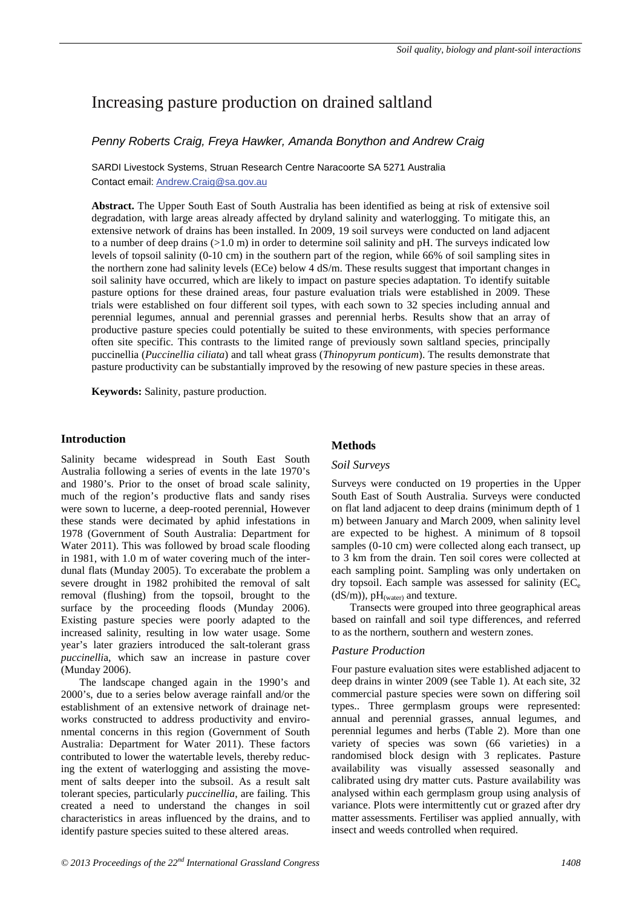## Increasing pasture production on drained saltland

## *Penny Roberts Craig, Freya Hawker, Amanda Bonython and Andrew Craig*

SARDI Livestock Systems, Struan Research Centre Naracoorte SA 5271 Australia Contact email: Andrew.Craig@sa.gov.au

**Abstract.** The Upper South East of South Australia has been identified as being at risk of extensive soil degradation, with large areas already affected by dryland salinity and waterlogging. To mitigate this, an extensive network of drains has been installed. In 2009, 19 soil surveys were conducted on land adjacent to a number of deep drains (>1.0 m) in order to determine soil salinity and pH. The surveys indicated low levels of topsoil salinity (0-10 cm) in the southern part of the region, while 66% of soil sampling sites in the northern zone had salinity levels (ECe) below 4 dS/m. These results suggest that important changes in soil salinity have occurred, which are likely to impact on pasture species adaptation. To identify suitable pasture options for these drained areas, four pasture evaluation trials were established in 2009. These trials were established on four different soil types, with each sown to 32 species including annual and perennial legumes, annual and perennial grasses and perennial herbs. Results show that an array of productive pasture species could potentially be suited to these environments, with species performance often site specific. This contrasts to the limited range of previously sown saltland species, principally puccinellia (*Puccinellia ciliata*) and tall wheat grass (*Thinopyrum ponticum*). The results demonstrate that pasture productivity can be substantially improved by the resowing of new pasture species in these areas.

**Keywords:** Salinity, pasture production.

### **Introduction**

Salinity became widespread in South East South Australia following a series of events in the late 1970's and 1980's. Prior to the onset of broad scale salinity, much of the region's productive flats and sandy rises were sown to lucerne, a deep-rooted perennial, However these stands were decimated by aphid infestations in 1978 (Government of South Australia: Department for Water 2011). This was followed by broad scale flooding in 1981, with 1.0 m of water covering much of the interdunal flats (Munday 2005). To excerabate the problem a severe drought in 1982 prohibited the removal of salt removal (flushing) from the topsoil, brought to the surface by the proceeding floods (Munday 2006). Existing pasture species were poorly adapted to the increased salinity, resulting in low water usage. Some year's later graziers introduced the salt-tolerant grass *puccinelli*a, which saw an increase in pasture cover (Munday 2006).

The landscape changed again in the 1990's and 2000's, due to a series below average rainfall and/or the establishment of an extensive network of drainage networks constructed to address productivity and environmental concerns in this region (Government of South Australia: Department for Water 2011). These factors contributed to lower the watertable levels, thereby reducing the extent of waterlogging and assisting the movement of salts deeper into the subsoil. As a result salt tolerant species, particularly *puccinellia*, are failing. This created a need to understand the changes in soil characteristics in areas influenced by the drains, and to identify pasture species suited to these altered areas.

## **Methods**

#### *Soil Surveys*

Surveys were conducted on 19 properties in the Upper South East of South Australia. Surveys were conducted on flat land adjacent to deep drains (minimum depth of 1 m) between January and March 2009, when salinity level are expected to be highest. A minimum of 8 topsoil samples (0-10 cm) were collected along each transect, up to 3 km from the drain. Ten soil cores were collected at each sampling point. Sampling was only undertaken on dry topsoil. Each sample was assessed for salinity  $(EC_e)$  $(dS/m)$ , pH<sub>(water)</sub> and texture.

Transects were grouped into three geographical areas based on rainfall and soil type differences, and referred to as the northern, southern and western zones.

### *Pasture Production*

Four pasture evaluation sites were established adjacent to deep drains in winter 2009 (see Table 1). At each site, 32 commercial pasture species were sown on differing soil types.. Three germplasm groups were represented: annual and perennial grasses, annual legumes, and perennial legumes and herbs (Table 2). More than one variety of species was sown (66 varieties) in a randomised block design with 3 replicates. Pasture availability was visually assessed seasonally and calibrated using dry matter cuts. Pasture availability was analysed within each germplasm group using analysis of variance. Plots were intermittently cut or grazed after dry matter assessments. Fertiliser was applied annually, with insect and weeds controlled when required.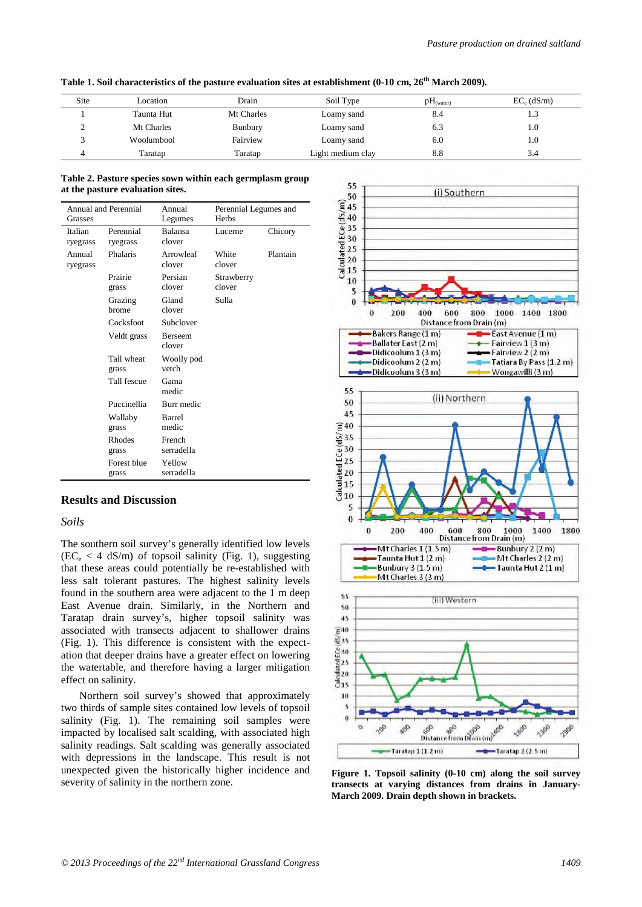| Site | Location   | Drain      | Soil Type         | $pH$ <sub>(water)</sub> | $EC_e$ (dS/m) |
|------|------------|------------|-------------------|-------------------------|---------------|
|      | Taunta Hut | Mt Charles | Loamy sand        | 8.4                     | 1.3           |
|      | Mt Charles | Bunbury    | Loamy sand        | 6.3                     | 1.0           |
|      | Woolumbool | Fairview   | Loamy sand        | 6.0                     | 1.0           |
|      | Taratap    | Taratap    | Light medium clay | 8.8                     | 3.4           |

**Table 1. Soil characteristics of the pasture evaluation sites at establishment (0-10 cm, 26th March 2009).**

#### **Table 2. Pasture species sown within each germplasm group at the pasture evaluation sites.**

| <b>Grasses</b>      | Annual and Perennial   | Annual<br>Legumes        | Perennial Legumes and<br>Herbs |          |
|---------------------|------------------------|--------------------------|--------------------------------|----------|
| Italian<br>ryegrass | Perennial<br>ryegrass  | Balansa<br>clover        | Lucerne                        | Chicory  |
| Annual<br>ryegrass  | Phalaris               | Arrowleaf<br>clover      | White<br>clover                | Plantain |
|                     | Prairie<br>grass       | Persian<br>clover        | Strawberry<br>clover           |          |
|                     | Grazing<br>brome       | Gland<br>clover          | Sulla                          |          |
|                     | Cocksfoot              | Subclover                |                                |          |
|                     | Veldt grass            | <b>Berseem</b><br>clover |                                |          |
|                     | Tall wheat<br>grass    | Woolly pod<br>vetch      |                                |          |
|                     | Tall fescue            | Gama<br>medic            |                                |          |
|                     | Puccinellia            | Burr medic               |                                |          |
|                     | Wallaby<br>grass       | Barrel<br>medic          |                                |          |
|                     | <b>Rhodes</b><br>grass | French<br>serradella     |                                |          |
|                     | Forest blue<br>grass   | Yellow<br>serradella     |                                |          |

## **Results and Discussion**

#### *Soils*

The southern soil survey's generally identified low levels  $(EC_e < 4 \text{ dS/m})$  of topsoil salinity (Fig. 1), suggesting that these areas could potentially be re-established with less salt tolerant pastures. The highest salinity levels found in the southern area were adjacent to the 1 m deep East Avenue drain. Similarly, in the Northern and Taratap drain survey's, higher topsoil salinity was associated with transects adjacent to shallower drains (Fig. 1). This difference is consistent with the expectation that deeper drains have a greater effect on lowering the watertable, and therefore having a larger mitigation effect on salinity.

Northern soil survey's showed that approximately two thirds of sample sites contained low levels of topsoil salinity (Fig. 1). The remaining soil samples were impacted by localised salt scalding, with associated high salinity readings. Salt scalding was generally associated with depressions in the landscape. This result is not unexpected given the historically higher incidence and



severity of salinity in the northern zone. **Figure 1. Topsoil salinity (0-10 cm) along the soil survey transects at varying distances from drains in January-March 2009. Drain depth shown in brackets.**